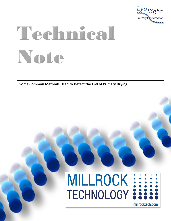

# Technical Note

**Some Common Methods Used to Detect the End of Primary Drying**

# MILLROCK :::::

millrocktech.com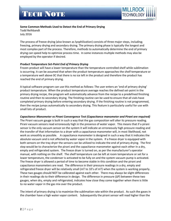

# **Some Common Methods Used to Detect the End of Primary Drying** Todd Reihbandt July 2016

The process of freeze drying (also known as lyophilization) consists of three major steps, including; freezing, primary drying and secondary drying. The primary drying phase is typically the longest and most complex part of the process. Therefore, methods to automatically determine the end of primary drying can speed help to optimize process time. In some instances multiple methods may also be employed by the operator if desired.

# *Product Temperature Set-Point End of Primary Drying*

Frozen product will have a lower temperature than the temperature controlled shelf while sublimation is occurring. It can be assumed that when the product temperature approaches the shelf temperature or a temperature well above 0C that there is no ice left in the product and therefore the product has reached the end of primary drying.

A typical software program can use this method as follows: The user enters an 'end of primary drying' product temperature. When the product temperature average reaches the defined set-point in the primary drying recipe, the program will automatically advance from the recipe to a predefined finishing routine and then to secondary drying. The finishing routine can be used to ensure that all vials have completed primary drying before entering secondary drying. If the finishing routine is not programmed, then the recipe jumps automatically to secondary drying. This feature is particularly useful for use with small lots of product.

## *Capacitance Manometer vs Pirani Convergence Test (Capacitance manometer and Pirani are required)*

The Pirani vacuum gauge is built in such a way that the gas composition will alter its pressure reading. Pirani vacuum sensors read erroneously high in the presence of water vapor. This means that if a pirani sensor is the only vacuum sensor on the system it will indicate an erroneously high pressure reading and the transfer of that information to a dryer with a capacitance manometer will, in most likelihood, not work as smoothly as possible. A capacitance manometer is designed in such a way that it indicates the absolute vacuum and is not affected by water vapor in the system. If a freeze dryer is equipped with both sensors on the tray dryer the sensors can be utilized to indicate the end of primary drying. The first step would be to characterize the pirani and the capacitance manometer against each other in a dry, empty and refrigerated system. The freeze dryer is turned on, as per the manufacturer's operator manual, with nothing on the shelf. The shelf temperature can be left at room temperature or set for a lower temperature, the condenser is activated to be fully on and the system vacuum pump is activated. The freeze dryer is allowed a period of time to become stable in this condition and the pirani and capacitance manometers are read. The difference in their pressure readings in a dry, empty and refrigerated freeze dryer will be relatively small (mT to 10's of mT) when the system is working properly. These two gauges should NOT be calibrated against each other. There may always be slight differences in their readings do to their difference in design. The difference in pressure (ΔP) between these two gauges, when dry, empty and refrigerated, indicates how close they come together when there is little to no water vapor in the gas mix over the product.

The intent of primary drying is to maximize the sublimation rate within the product. As such the gases in the chamber have a high water vapor content. Subsequently the pirani sensor will read higher than the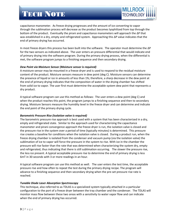# TECH NOTE



capacitance manometer. As freeze drying progresses and the amount of ice converting to vapor through the sublimation process will decrease as the product becomes lyophilized from top through the bottom of the product. Eventually the pirani and capacitance manometers will approach the ΔP that was established in a dry, empty and refrigerated system. Approaching this ΔP value indicates that the end of primary drying has occurred.

In most freeze dryers this process has been built into the software. The operator must determine the ΔP for the two sensors as indicated above. The user enters an pressure differential that would indicate end of primary drying into the software program. During the primary drying process, when the differential is met, the software program jumps to a finishing sequence and then secondary drying.

## *Dew Point via Moisture Sensor (Moisture sensor is required)*

A moisture sensor may be mounted in a freeze dryer and is used to respond to the residual moisture content of the product. Moisture sensors measure in dew point (deg C). Moisture sensors can determine the presence of liquid or ice in amounts of less than 1%; therefore, a sharp decrease in the dew point at the end of primary drying indicates that the composition of water in the drying chamber has shifted from solid ice to vapor. The user first must determine the acceptable system dew point that represents a dry product.

A typical software program can use this method as follows: The user enters a dew point (deg C) and when the product reaches this point, the program jumps to a finishing sequence and then to secondary drying. Moisture Sensors measure the humidity level in the freeze dryer and can determine and indicate the end point of the primary drying cycle.

# *Barometric Pressure Rise (Isolation valve is required)*

The barometric pressure rise approach is best used with a system that has been characterized in a dry, empty and refrigerated state. Similar to the approach used for characterizing the capacitance manometer and pirani convergence approach the freeze dryer is run, the isolation valve is closed and the pressure rise in the system over a period of time (typically minutes) is determined. This pressure rise creates a baseline for conditions when the isolation valve is closed. During a product run, when the freeze drying chamber is isolated from the condenser and vacuum pump (via the isolation valve) the sublimation of ice to vapor will force the pressure in the system to rise. With ice in the chamber the pressure will rise faster than the rate that was determined when characterizing the system dry, empty and refrigerated, thus indicating that there is still sublimation occurring. The slower the pressure rise, the less ice present. A typical acceptable pressure rise to determine the end of primary drying is less 6mT in 30 seconds with 3 or more readings in an hour.

A typical software program can use this method as well. The user enters the test time, the acceptable pressure rise and how often to repeat the test during the primary drying recipe. The program will advance to a finishing sequence and then secondary drying when the pre-set pressure rise rate is reached.

# *Tunable Diode Laser Absorption Spectroscopy*

This technique, also referred to as TDLAS is a specialized system typically attached in a particular configuration to the port of a freeze dryer between the tray chamber and the condenser. The TDLAS will monitor mass flow between these two areas with a sensitivity to water vapor flow and can indicate when the end of primary drying has occurred.